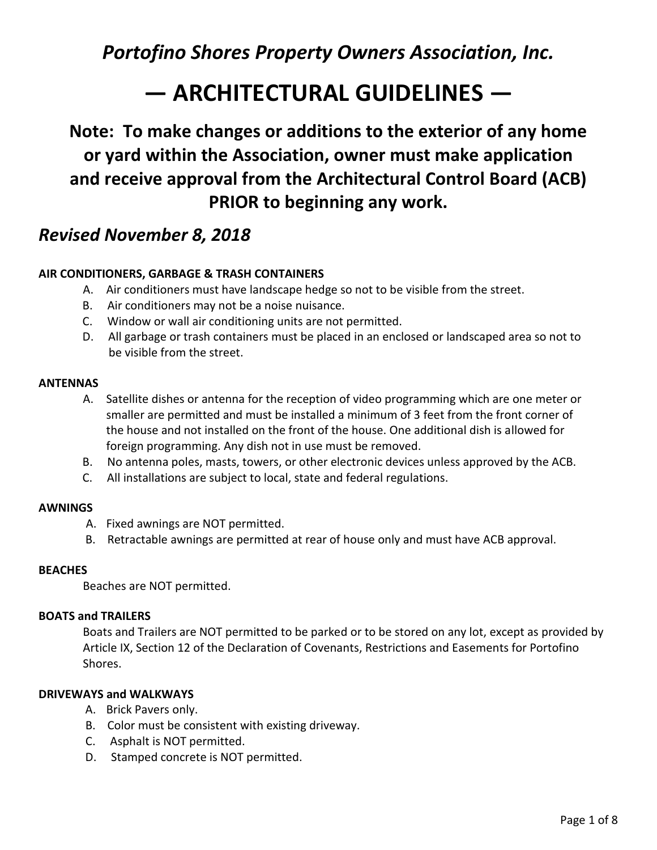# **— ARCHITECTURAL GUIDELINES —**

**Note: To make changes or additions to the exterior of any home or yard within the Association, owner must make application and receive approval from the Architectural Control Board (ACB) PRIOR to beginning any work.**

## *Revised November 8, 2018*

#### **AIR CONDITIONERS, GARBAGE & TRASH CONTAINERS**

- A. Air conditioners must have landscape hedge so not to be visible from the street.
- B. Air conditioners may not be a noise nuisance.
- C. Window or wall air conditioning units are not permitted.
- D. All garbage or trash containers must be placed in an enclosed or landscaped area so not to be visible from the street.

#### **ANTENNAS**

- A. Satellite dishes or antenna for the reception of video programming which are one meter or smaller are permitted and must be installed a minimum of 3 feet from the front corner of the house and not installed on the front of the house. One additional dish is allowed for foreign programming. Any dish not in use must be removed.
- B. No antenna poles, masts, towers, or other electronic devices unless approved by the ACB.
- C. All installations are subject to local, state and federal regulations.

#### **AWNINGS**

- A. Fixed awnings are NOT permitted.
- B. Retractable awnings are permitted at rear of house only and must have ACB approval.

#### **BEACHES**

Beaches are NOT permitted.

#### **BOATS and TRAILERS**

Boats and Trailers are NOT permitted to be parked or to be stored on any lot, except as provided by Article IX, Section 12 of the Declaration of Covenants, Restrictions and Easements for Portofino Shores.

#### **DRIVEWAYS and WALKWAYS**

- A. Brick Pavers only.
- B. Color must be consistent with existing driveway.
- C. Asphalt is NOT permitted.
- D. Stamped concrete is NOT permitted.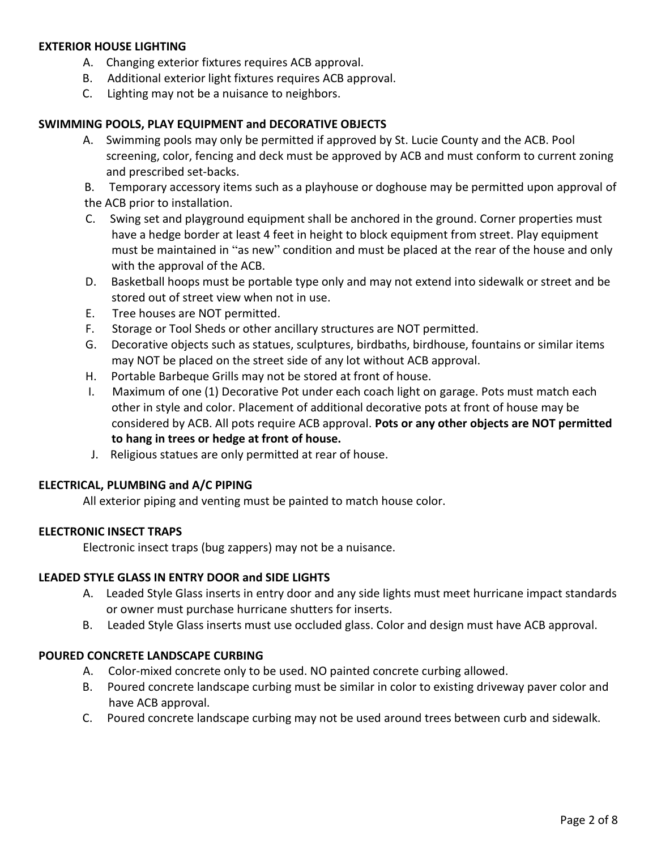#### **EXTERIOR HOUSE LIGHTING**

- A. Changing exterior fixtures requires ACB approval.
- B. Additional exterior light fixtures requires ACB approval.
- C. Lighting may not be a nuisance to neighbors.

#### **SWIMMING POOLS, PLAY EQUIPMENT and DECORATIVE OBJECTS**

A. Swimming pools may only be permitted if approved by St. Lucie County and the ACB. Pool screening, color, fencing and deck must be approved by ACB and must conform to current zoning and prescribed set-backs.

B. Temporary accessory items such as a playhouse or doghouse may be permitted upon approval of the ACB prior to installation.

- C. Swing set and playground equipment shall be anchored in the ground. Corner properties must have a hedge border at least 4 feet in height to block equipment from street. Play equipment must be maintained in "as new" condition and must be placed at the rear of the house and only with the approval of the ACB.
- D. Basketball hoops must be portable type only and may not extend into sidewalk or street and be stored out of street view when not in use.
- E. Tree houses are NOT permitted.
- F. Storage or Tool Sheds or other ancillary structures are NOT permitted.
- G. Decorative objects such as statues, sculptures, birdbaths, birdhouse, fountains or similar items may NOT be placed on the street side of any lot without ACB approval.
- H. Portable Barbeque Grills may not be stored at front of house.
- I. Maximum of one (1) Decorative Pot under each coach light on garage. Pots must match each other in style and color. Placement of additional decorative pots at front of house may be considered by ACB. All pots require ACB approval. **Pots or any other objects are NOT permitted to hang in trees or hedge at front of house.**
- J. Religious statues are only permitted at rear of house.

#### **ELECTRICAL, PLUMBING and A/C PIPING**

All exterior piping and venting must be painted to match house color.

#### **ELECTRONIC INSECT TRAPS**

Electronic insect traps (bug zappers) may not be a nuisance.

#### **LEADED STYLE GLASS IN ENTRY DOOR and SIDE LIGHTS**

- A. Leaded Style Glass inserts in entry door and any side lights must meet hurricane impact standards or owner must purchase hurricane shutters for inserts.
- B. Leaded Style Glass inserts must use occluded glass. Color and design must have ACB approval.

#### **POURED CONCRETE LANDSCAPE CURBING**

- A. Color-mixed concrete only to be used. NO painted concrete curbing allowed.
- B. Poured concrete landscape curbing must be similar in color to existing driveway paver color and have ACB approval.
- C. Poured concrete landscape curbing may not be used around trees between curb and sidewalk.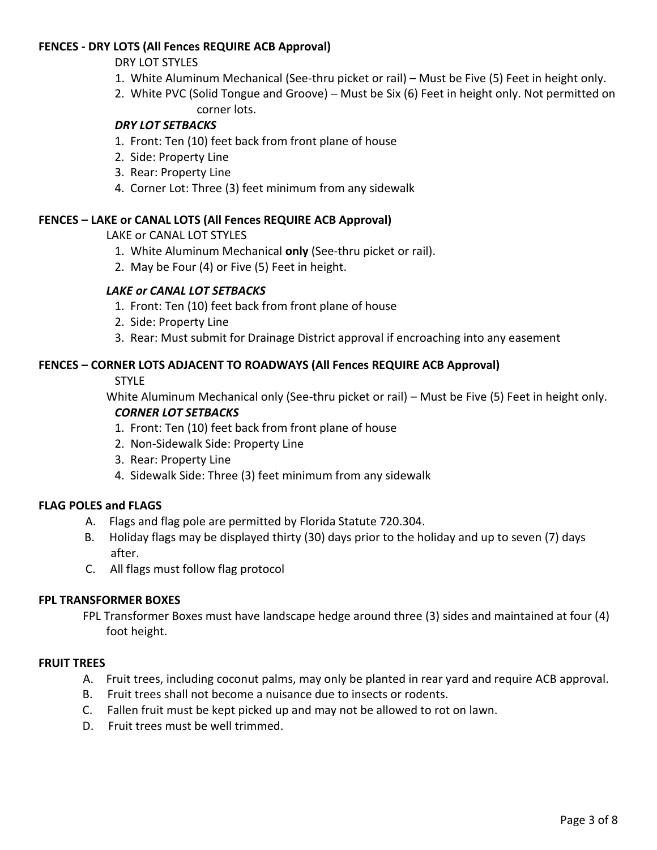#### **FENCES - DRY LOTS (All Fences REQUIRE ACB Approval)**

#### DRY LOT STYLES

- 1. White Aluminum Mechanical (See-thru picket or rail) Must be Five (5) Feet in height only.
- 2. White PVC (Solid Tongue and Groove) Must be Six (6) Feet in height only. Not permitted on corner lots.

#### *DRY LOT SETBACKS*

- 1. Front: Ten (10) feet back from front plane of house
- 2. Side: Property Line
- 3. Rear: Property Line
- 4. Corner Lot: Three (3) feet minimum from any sidewalk

#### **FENCES – LAKE or CANAL LOTS (All Fences REQUIRE ACB Approval)**

LAKE or CANAL LOT STYLES

- 1. White Aluminum Mechanical **only** (See-thru picket or rail).
- 2. May be Four (4) or Five (5) Feet in height.

#### *LAKE or CANAL LOT SETBACKS*

- 1. Front: Ten (10) feet back from front plane of house
- 2. Side: Property Line
- 3. Rear: Must submit for Drainage District approval if encroaching into any easement

#### **FENCES – CORNER LOTS ADJACENT TO ROADWAYS (All Fences REQUIRE ACB Approval)**

STYLE

White Aluminum Mechanical only (See-thru picket or rail) – Must be Five (5) Feet in height only. *CORNER LOT SETBACKS*

- 1. Front: Ten (10) feet back from front plane of house
- 2. Non-Sidewalk Side: Property Line
- 3. Rear: Property Line
- 4. Sidewalk Side: Three (3) feet minimum from any sidewalk

#### **FLAG POLES and FLAGS**

- A. Flags and flag pole are permitted by Florida Statute 720.304.
- B. Holiday flags may be displayed thirty (30) days prior to the holiday and up to seven (7) days after.
- C. All flags must follow flag protocol

#### **FPL TRANSFORMER BOXES**

FPL Transformer Boxes must have landscape hedge around three (3) sides and maintained at four (4) foot height.

#### **FRUIT TREES**

- A. Fruit trees, including coconut palms, may only be planted in rear yard and require ACB approval.
- B. Fruit trees shall not become a nuisance due to insects or rodents.
- C. Fallen fruit must be kept picked up and may not be allowed to rot on lawn.
- D. Fruit trees must be well trimmed.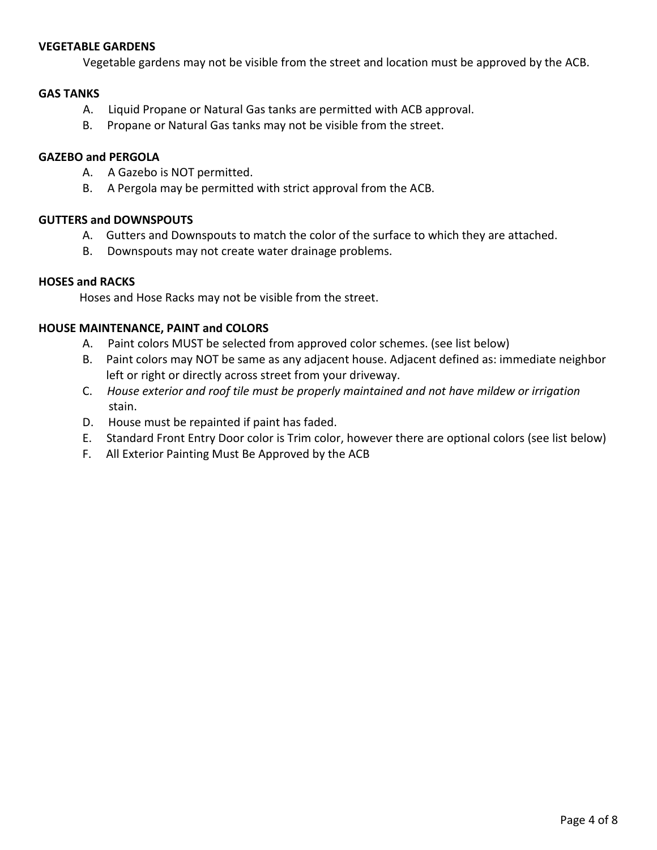#### **VEGETABLE GARDENS**

Vegetable gardens may not be visible from the street and location must be approved by the ACB.

#### **GAS TANKS**

- A. Liquid Propane or Natural Gas tanks are permitted with ACB approval.
- B. Propane or Natural Gas tanks may not be visible from the street.

#### **GAZEBO and PERGOLA**

- A. A Gazebo is NOT permitted.
- B. A Pergola may be permitted with strict approval from the ACB.

#### **GUTTERS and DOWNSPOUTS**

- A. Gutters and Downspouts to match the color of the surface to which they are attached.
- B. Downspouts may not create water drainage problems.

#### **HOSES and RACKS**

Hoses and Hose Racks may not be visible from the street.

#### **HOUSE MAINTENANCE, PAINT and COLORS**

- A. Paint colors MUST be selected from approved color schemes. (see list below)
- B. Paint colors may NOT be same as any adjacent house. Adjacent defined as: immediate neighbor left or right or directly across street from your driveway.
- C. *House exterior and roof tile must be properly maintained and not have mildew or irrigation* stain.
- D. House must be repainted if paint has faded.
- E. Standard Front Entry Door color is Trim color, however there are optional colors (see list below)
- F. All Exterior Painting Must Be Approved by the ACB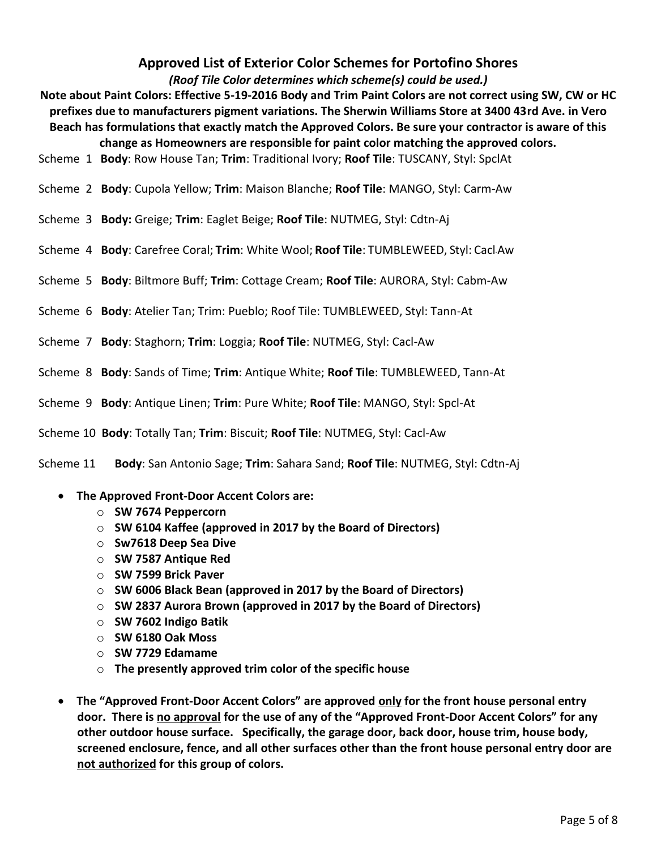### **Approved List of Exterior Color Schemes for Portofino Shores**

*(Roof Tile Color determines which scheme(s) could be used.)*

- **Note about Paint Colors: Effective 5-19-2016 Body and Trim Paint Colors are not correct using SW, CW or HC prefixes due to manufacturers pigment variations. The Sherwin Williams Store at 3400 43rd Ave. in Vero Beach has formulations that exactly match the Approved Colors. Be sure your contractor is aware of this change as Homeowners are responsible for paint color matching the approved colors.**
- Scheme 1 **Body**: Row House Tan; **Trim**: Traditional Ivory; **Roof Tile**: TUSCANY, Styl: SpclAt
- Scheme 2 **Body**: Cupola Yellow; **Trim**: Maison Blanche; **Roof Tile**: MANGO, Styl: Carm-Aw
- Scheme 3 **Body:** Greige; **Trim**: Eaglet Beige; **Roof Tile**: NUTMEG, Styl: Cdtn-Aj
- Scheme 4 **Body**: Carefree Coral; **Trim**: White Wool; **Roof Tile**: TUMBLEWEED, Styl: Cacl-Aw
- Scheme 5 **Body**: Biltmore Buff; **Trim**: Cottage Cream; **Roof Tile**: AURORA, Styl: Cabm-Aw
- Scheme 6 **Body**: Atelier Tan; Trim: Pueblo; Roof Tile: TUMBLEWEED, Styl: Tann-At
- Scheme 7 **Body**: Staghorn; **Trim**: Loggia; **Roof Tile**: NUTMEG, Styl: Cacl-Aw
- Scheme 8 **Body**: Sands of Time; **Trim**: Antique White; **Roof Tile**: TUMBLEWEED, Tann-At
- Scheme 9 **Body**: Antique Linen; **Trim**: Pure White; **Roof Tile**: MANGO, Styl: Spcl-At
- Scheme 10 **Body**: Totally Tan; **Trim**: Biscuit; **Roof Tile**: NUTMEG, Styl: Cacl-Aw

Scheme 11 **Body**: San Antonio Sage; **Trim**: Sahara Sand; **Roof Tile**: NUTMEG, Styl: Cdtn-Aj

- **The Approved Front-Door Accent Colors are:** 
	- o **SW 7674 Peppercorn**
	- o **SW 6104 Kaffee (approved in 2017 by the Board of Directors)**
	- o **Sw7618 Deep Sea Dive**
	- o **SW 7587 Antique Red**
	- o **SW 7599 Brick Paver**
	- o **SW 6006 Black Bean (approved in 2017 by the Board of Directors)**
	- o **SW 2837 Aurora Brown (approved in 2017 by the Board of Directors)**
	- o **SW 7602 Indigo Batik**
	- o **SW 6180 Oak Moss**
	- o **SW 7729 Edamame**
	- o **The presently approved trim color of the specific house**
- **The "Approved Front-Door Accent Colors" are approved only for the front house personal entry door. There is no approval for the use of any of the "Approved Front-Door Accent Colors" for any other outdoor house surface. Specifically, the garage door, back door, house trim, house body, screened enclosure, fence, and all other surfaces other than the front house personal entry door are not authorized for this group of colors.**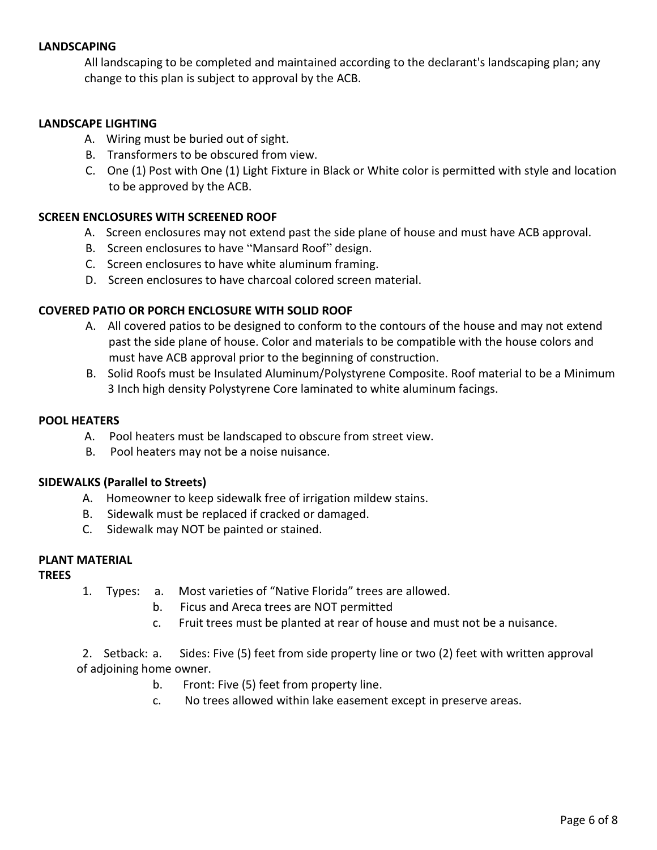#### **LANDSCAPING**

All landscaping to be completed and maintained according to the declarant's landscaping plan; any change to this plan is subject to approval by the ACB.

#### **LANDSCAPE LIGHTING**

- A. Wiring must be buried out of sight.
- B. Transformers to be obscured from view.
- C. One (1) Post with One (1) Light Fixture in Black or White color is permitted with style and location to be approved by the ACB.

#### **SCREEN ENCLOSURES WITH SCREENED ROOF**

- A. Screen enclosures may not extend past the side plane of house and must have ACB approval.
- B. Screen enclosures to have "Mansard Roof" design.
- C. Screen enclosures to have white aluminum framing.
- D. Screen enclosures to have charcoal colored screen material.

#### **COVERED PATIO OR PORCH ENCLOSURE WITH SOLID ROOF**

- A. All covered patios to be designed to conform to the contours of the house and may not extend past the side plane of house. Color and materials to be compatible with the house colors and must have ACB approval prior to the beginning of construction.
- B. Solid Roofs must be Insulated Aluminum/Polystyrene Composite. Roof material to be a Minimum 3 Inch high density Polystyrene Core laminated to white aluminum facings.

#### **POOL HEATERS**

- A. Pool heaters must be landscaped to obscure from street view.
- B. Pool heaters may not be a noise nuisance.

#### **SIDEWALKS (Parallel to Streets)**

- A. Homeowner to keep sidewalk free of irrigation mildew stains.
- B. Sidewalk must be replaced if cracked or damaged.
- C. Sidewalk may NOT be painted or stained.

#### **PLANT MATERIAL**

#### **TREES**

- 1. Types: a. Most varieties of "Native Florida" trees are allowed.
	- b. Ficus and Areca trees are NOT permitted
	- c. Fruit trees must be planted at rear of house and must not be a nuisance.

 2. Setback: a. Sides: Five (5) feet from side property line or two (2) feet with written approval of adjoining home owner.

- b. Front: Five (5) feet from property line.
- c. No trees allowed within lake easement except in preserve areas.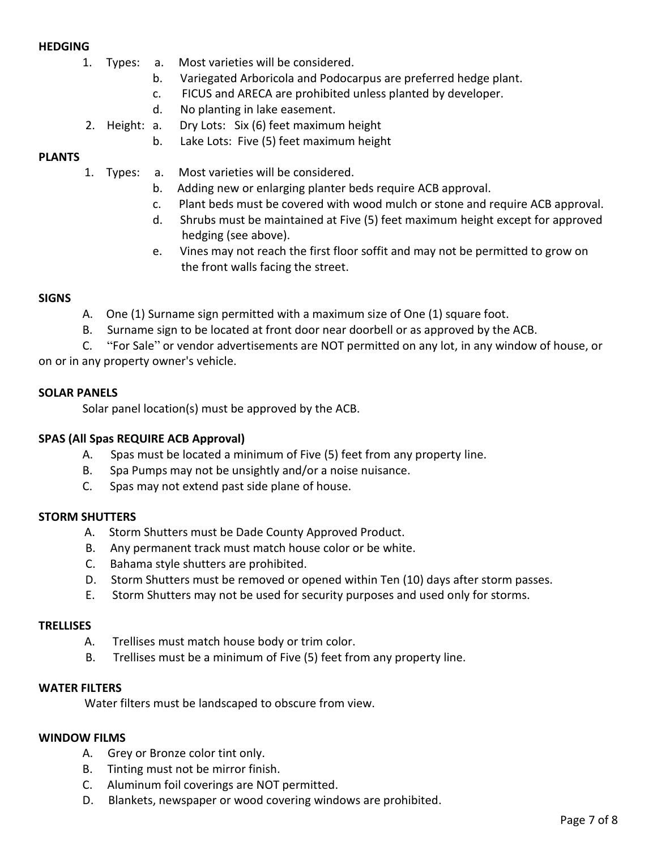#### **HEDGING**

- 1. Types: a. Most varieties will be considered.
	- b. Variegated Arboricola and Podocarpus are preferred hedge plant.
	- c. FICUS and ARECA are prohibited unless planted by developer.
	- d. No planting in lake easement.
- 2. Height: a. Dry Lots: Six (6) feet maximum height
	- b. Lake Lots: Five (5) feet maximum height

#### **PLANTS**

- 1. Types: a. Most varieties will be considered.
	- b. Adding new or enlarging planter beds require ACB approval.
	- c. Plant beds must be covered with wood mulch or stone and require ACB approval.
	- d. Shrubs must be maintained at Five (5) feet maximum height except for approved hedging (see above).
	- e. Vines may not reach the first floor soffit and may not be permitted to grow on the front walls facing the street.

#### **SIGNS**

- A. One (1) Surname sign permitted with a maximum size of One (1) square foot.
- B. Surname sign to be located at front door near doorbell or as approved by the ACB.

 C. "For Sale" or vendor advertisements are NOT permitted on any lot, in any window of house, or on or in any property owner's vehicle.

#### **SOLAR PANELS**

Solar panel location(s) must be approved by the ACB.

#### **SPAS (All Spas REQUIRE ACB Approval)**

- A. Spas must be located a minimum of Five (5) feet from any property line.
- B. Spa Pumps may not be unsightly and/or a noise nuisance.
- C. Spas may not extend past side plane of house.

#### **STORM SHUTTERS**

- A. Storm Shutters must be Dade County Approved Product.
- B. Any permanent track must match house color or be white.
- C. Bahama style shutters are prohibited.
- D. Storm Shutters must be removed or opened within Ten (10) days after storm passes.
- E. Storm Shutters may not be used for security purposes and used only for storms.

#### **TRELLISES**

- A. Trellises must match house body or trim color.
- B. Trellises must be a minimum of Five (5) feet from any property line.

#### **WATER FILTERS**

Water filters must be landscaped to obscure from view.

#### **WINDOW FILMS**

- A. Grey or Bronze color tint only.
- B. Tinting must not be mirror finish.
- C. Aluminum foil coverings are NOT permitted.
- D. Blankets, newspaper or wood covering windows are prohibited.